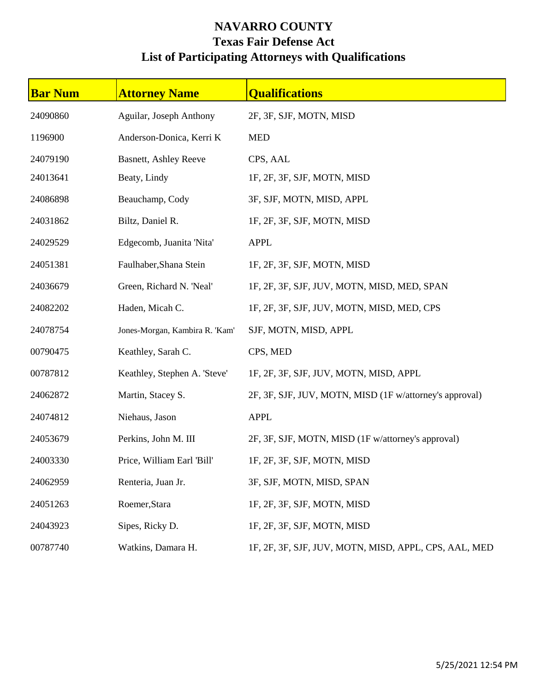## **NAVARRO COUNTY Texas Fair Defense Act List of Participating Attorneys with Qualifications**

| <b>Bar Num</b> | <b>Attorney Name</b>           | <b>Qualifications</b>                                   |
|----------------|--------------------------------|---------------------------------------------------------|
| 24090860       | Aguilar, Joseph Anthony        | 2F, 3F, SJF, MOTN, MISD                                 |
| 1196900        | Anderson-Donica, Kerri K       | <b>MED</b>                                              |
| 24079190       | <b>Basnett, Ashley Reeve</b>   | CPS, AAL                                                |
| 24013641       | Beaty, Lindy                   | 1F, 2F, 3F, SJF, MOTN, MISD                             |
| 24086898       | Beauchamp, Cody                | 3F, SJF, MOTN, MISD, APPL                               |
| 24031862       | Biltz, Daniel R.               | 1F, 2F, 3F, SJF, MOTN, MISD                             |
| 24029529       | Edgecomb, Juanita 'Nita'       | <b>APPL</b>                                             |
| 24051381       | Faulhaber, Shana Stein         | 1F, 2F, 3F, SJF, MOTN, MISD                             |
| 24036679       | Green, Richard N. 'Neal'       | 1F, 2F, 3F, SJF, JUV, MOTN, MISD, MED, SPAN             |
| 24082202       | Haden, Micah C.                | 1F, 2F, 3F, SJF, JUV, MOTN, MISD, MED, CPS              |
| 24078754       | Jones-Morgan, Kambira R. 'Kam' | SJF, MOTN, MISD, APPL                                   |
| 00790475       | Keathley, Sarah C.             | CPS, MED                                                |
| 00787812       | Keathley, Stephen A. 'Steve'   | 1F, 2F, 3F, SJF, JUV, MOTN, MISD, APPL                  |
| 24062872       | Martin, Stacey S.              | 2F, 3F, SJF, JUV, MOTN, MISD (1F w/attorney's approval) |
| 24074812       | Niehaus, Jason                 | <b>APPL</b>                                             |
| 24053679       | Perkins, John M. III           | 2F, 3F, SJF, MOTN, MISD (1F w/attorney's approval)      |
| 24003330       | Price, William Earl 'Bill'     | 1F, 2F, 3F, SJF, MOTN, MISD                             |
| 24062959       | Renteria, Juan Jr.             | 3F, SJF, MOTN, MISD, SPAN                               |
| 24051263       | Roemer, Stara                  | 1F, 2F, 3F, SJF, MOTN, MISD                             |
| 24043923       | Sipes, Ricky D.                | 1F, 2F, 3F, SJF, MOTN, MISD                             |
| 00787740       | Watkins, Damara H.             | 1F, 2F, 3F, SJF, JUV, MOTN, MISD, APPL, CPS, AAL, MED   |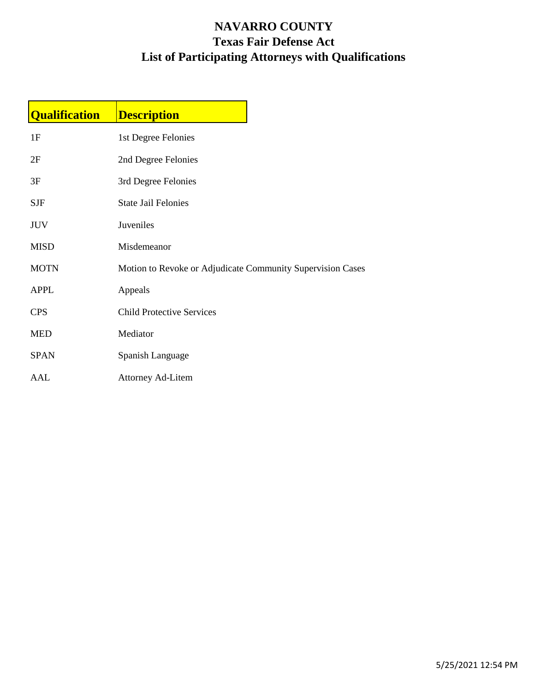## **NAVARRO COUNTY Texas Fair Defense Act List of Participating Attorneys with Qualifications**

| <b>Qualification</b> | <b>Description</b>                                         |  |
|----------------------|------------------------------------------------------------|--|
| 1F                   | 1st Degree Felonies                                        |  |
| 2F                   | 2nd Degree Felonies                                        |  |
| 3F                   | 3rd Degree Felonies                                        |  |
| <b>SJF</b>           | <b>State Jail Felonies</b>                                 |  |
| <b>JUV</b>           | Juveniles                                                  |  |
| <b>MISD</b>          | Misdemeanor                                                |  |
| <b>MOTN</b>          | Motion to Revoke or Adjudicate Community Supervision Cases |  |
| <b>APPL</b>          | Appeals                                                    |  |
| <b>CPS</b>           | <b>Child Protective Services</b>                           |  |
| <b>MED</b>           | Mediator                                                   |  |
| <b>SPAN</b>          | Spanish Language                                           |  |
| AAL                  | <b>Attorney Ad-Litem</b>                                   |  |